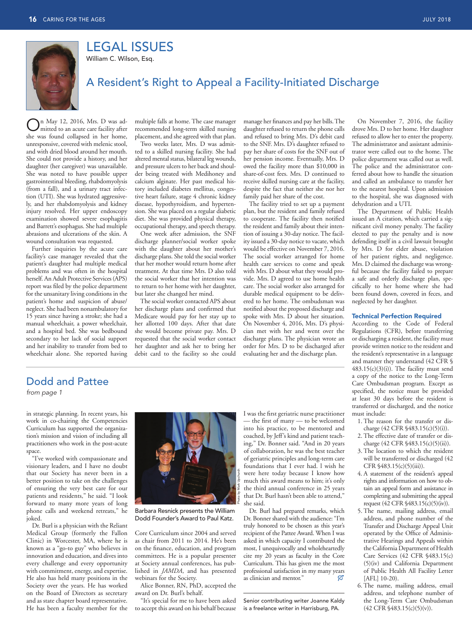

LEGAL ISSUES William C. Wilson, Esq.

# A Resident's Right to Appeal a Facility-Initiated Discharge

On May 12, 2016, Mrs. D was ad-<br>multiple falls at home. The case manager manage her finances and pay her bills. The<br>she was found collapsed in her home, placement, and she agreed with that plan. and refused to bring Mrs. D she was found collapsed in her home, placement, and she agreed with that plan. and refused to bring Mrs. D's debit card unresponsive, covered with melenic stool, Two weeks later, Mrs. D was admit- to the SNF. Mrs. D's daug unresponsive, covered with melenic stool, Two weeks later, Mrs. D was admit- to the SNF. Mrs. D's daughter refused to and with dried blood around her mouth. ted to a skilled nursing facility. She had pay her share of costs and with dried blood around her mouth. ted to a skilled nursing facility. She had She could not provide a history, and her altered mental status, bilateral leg wounds, daughter (her caregiver) was unavailable. She was noted to have possible upper der being treated with Medihoney and share-of-cost fees. Mrs. D continued to gastrointestinal bleeding, rhabdomyolysis calcium alginate. Her past medical his- receive skilled nursing ca tion (UTI). She was hydrated aggressive- tive heart failure, stage 4 chronic kidney family paid her share of the cost.

facility's case manager revealed that the discharge plans. She told the social worker patient's daughter had multiple medical that her mother would return home after patient's daughter had multiple medical that her mother would return home after health care services to come and speak<br>problems and was often in the hospital treatment. At that time Mrs. D also told with Mrs. D about what problems and was often in the hospital herself. An Adult Protective Services (APS) the social worker that her intention was vide. Mrs. D agreed to use home health report was filed by the police department to return to her home with her daughter, care. The socia report was filed by the police department to return to her home with her daughter, care. The social worker also arranged for for the unsanitary living conditions in the but later she changed her mind. durable medical equip for the unsanitary living conditions in the but later she changed her mind. durable medical equipment to be deliv-<br>patient's home and suspicion of abuse/ The social worker contacted APS about ered to her home. The ombudsma patient's home and suspicion of abuse/ The social worker contacted APS about ered to her home. The ombudsman was neglect. She had been nonambulatory for her discharge plans and confirmed that notified about the proposed di manual wheelchair, a power wheelchair, and a hospital bed. She was bedbound she would become private pay. Mrs. D cian met with her and went over the secondary to her lack of social support requested that the social worker contact discharge plans. The physician secondary to her lack of social support requested that the social worker contact discharge plans. The physician wrote an and her inability to transfer from bed to her daughter and ask her to bring her order for Mrs. D to b and her inability to transfer from bed to her daughter and ask her to bring her wheelchair alone. She reported having debit card to the facility so she could

recommended long-term skilled nursing

altered mental status, bilateral leg wounds, her pension income. Eventually, Mrs. D and pressure ulcers to her back and shoul- owed the facility more than \$10,000 in gastrointestinal bleeding, rhabdomyolysis calcium alginate. Her past medical his-<br>(from a fall), and a urinary tract infec- tory included diabetes mellitus, congesdisease, hypothyroidism, and hypertendiet. She was provided physical therapy,

discharge planner/social worker spoke

debit card to the facility so she could evaluating her and the discharge plan.

despite the fact that neither she nor her

injury resolved. Her upper endoscopy sion. She was placed on a regular diabetic plan, but the resident and family refused examination showed severe esophagitis diet. She was provided physical therapy, to cooperate. The fac and Barrett's esophagus. She had multiple occupational therapy, and speech therapy. the resident and family about their inten-<br>abrasions and ulcerations of the skin. A One week after admission, the SNF tion of issuing a 30 abrasions and ulcerations of the skin. A One week after admission, the SNF tion of issuing a 30-day notice. The facil-<br>wound consultation was requested. discharge planner/social worker spoke ity issued a 30-day notice to v Further inquiries by the acute care with the daughter about her mother's would be effective on November 7, 2016.<br>
cility's case manager revealed that the discharge plans. She told the social worker The social worker arrang her discharge plans and confirmed that notified about the proposed discharge and Medicare would pay for her stay up to spoke with Mrs. D about her situation. 15 years since having a stroke; she had a Medicare would pay for her stay up to spoke with Mrs. D about her situation.<br>manual wheelchair, a power wheelchair, her allotted 100 days. After that date On November 4, 2016, Mrs.

 On November 7, 2016, the facility drove Mrs. D to her home. Her daughter refused to allow her to enter the property. The administrator and assistant administrator were called out to the home. The police department was called out as well. The police and the administrator conferred about how to handle the situation and called an ambulance to transfer her to the nearest hospital. Upon admission to the hospital, she was diagnosed with dehydration and a UTI.

The Department of Public Health issued an A citation, which carried a significant civil money penalty. The facility elected to pay the penalty and is now defending itself in a civil lawsuit brought by Mrs. D for elder abuse, violation of her patient rights, and negligence. Mrs. D claimed the discharge was wrongful because the facility failed to prepare a safe and orderly discharge plan, specifically to her home where she had been found down, covered in feces, and neglected by her daughter.

### Technical Perfection Required

According to the Code of Federal Regulations (CFR), before transferring or discharging a resident, the facility must provide written notice to the resident and the resident's representative in a language and manner they understand (42 CFR § 483.15(c)(3)(i)). The facility must send a copy of the notice to the Long-Term Care Ombudsman program. Except as specified, the notice must be provided at least 30 days before the resident is transferred or discharged, and the notice must include:

- 1. The reason for the transfer or discharge (42 CFR §483.15(c)(5)(i)).
- 2. The effective date of transfer or discharge (42 CFR §483.15(c)(5)(ii)).
- 3. The location to which the resident will be transferred or discharged (42 CFR  $$483.15(c)(5)(iii)$ .
- 4. A statement of the resident's appeal rights and information on how to obtain an appeal form and assistance in completing and submitting the appeal request (42 CFR §483.15(c)(5)(iv)).
- 5. The name, mailing address, email address, and phone number of the Transfer and Discharge Appeal Unit operated by the Office of Administrative Hearings and Appeals within the California Department of Health Care Services (42 CFR §483.15(c) (5)(iv) and California Department of Public Health All Facility Letter [AFL] 10-20).
- 6. The name, mailing address, email address, and telephone number of the Long-Term Care Ombudsman  $(42 \text{ CFR } $483.15(c)(5)(v)).$

## Dodd and Pattee

## *from page 1*

in strategic planning. In recent years, his work in co-chairing the Competencies Curriculum has supported the organization's mission and vision of including all practitioners who work in the post-acute space.

 "I've worked with compassionate and visionary leaders, and I have no doubt that our Society has never been in a better position to take on the challenges of ensuring the very best care for our patients and residents," he said. "I look forward to many more years of long phone calls and weekend retreats," he joked.

 Dr. Burl is a physician with the Reliant Medical Group (formerly the Fallon Clinic) in Worcester, MA, where he is known as a "go-to guy" who believes in innovation and education, and dives into every challenge and every opportunity with commitment, energy, and expertise. He also has held many positions in the Society over the years. He has worked on the Board of Directors as secretary and as state chapter board representative. He has been a faculty member for the



Barbara Resnick presents the William Dodd Founder's Award to Paul Katz.

Core Curriculum since 2004 and served as chair from 2011 to 2014. He's been on the finance, education, and program committees. He is a popular presenter at Society annual conferences, has published in *JAMDA*, and has presented webinars for the Society.

 Alice Bonner, RN, PhD, accepted the award on Dr. Burl's behalf.

 "It's special for me to have been asked to accept this award on his behalf because I was the first geriatric nurse practitioner - the first of many - to be welcomed into his practice, to be mentored and coached, by Jeff's kind and patient teaching," Dr. Bonner said. "And in 20 years of collaboration, he was the best teacher of geriatric principles and long-term care foundations that I ever had. l wish he were here today because I know how much this award means to him; it's only the third annual conference in 25 years that Dr. Burl hasn't been able to attend," she said.

 Dr. Burl had prepared remarks, which Dr. Bonner shared with the audience: "I'm truly honored to be chosen as this year's recipient of the Pattee Award. When I was asked in which capacity I contributed the most, I unequivocally and wholeheartedly cite my 20 years as faculty in the Core Curriculum. This has given me the most professional satisfaction in my many years as clinician and mentor."  $\varnothing$ 

 Senior contributing writer Joanne Kaldy is a freelance writer in Harrisburg, PA.